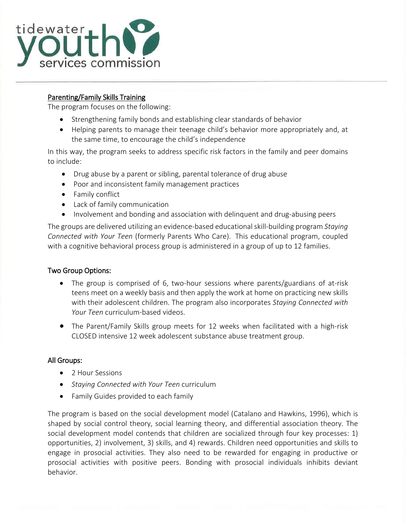

l

## Parenting/Family Skills Training

The program focuses on the following:

- Strengthening family bonds and establishing clear standards of behavior
- Helping parents to manage their teenage child's behavior more appropriately and, at the same time, to encourage the child's independence

In this way, the program seeks to address specific risk factors in the family and peer domains to include:

- Drug abuse by a parent or sibling, parental tolerance of drug abuse
- Poor and inconsistent family management practices
- Family conflict
- Lack of family communication
- Involvement and bonding and association with delinquent and drug-abusing peers

The groups are delivered utilizing an evidence-based educational skill-building program *Staying Connected with Your Teen* (formerly Parents Who Care). This educational program, coupled with a cognitive behavioral process group is administered in a group of up to 12 families.

## Two Group Options:

- The group is comprised of 6, two-hour sessions where parents/guardians of at-risk teens meet on a weekly basis and then apply the work at home on practicing new skills with their adolescent children. The program also incorporates *Staying Connected with Your Teen* curriculum-based videos.
- The Parent/Family Skills group meets for 12 weeks when facilitated with a high-risk CLOSED intensive 12 week adolescent substance abuse treatment group.

## All Groups:

- 2 Hour Sessions
- *Staying Connected with Your Teen* curriculum
- Family Guides provided to each family

The program is based on the social development model (Catalano and Hawkins, 1996), which is shaped by social control theory, social learning theory, and differential association theory. The social development model contends that children are socialized through four key processes: 1) opportunities, 2) involvement, 3) skills, and 4) rewards. Children need opportunities and skills to engage in prosocial activities. They also need to be rewarded for engaging in productive or prosocial activities with positive peers. Bonding with prosocial individuals inhibits deviant behavior.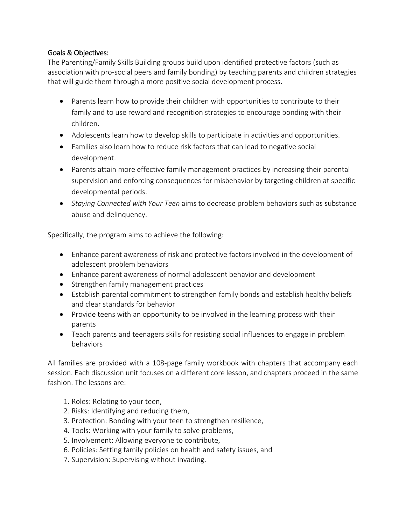## Goals & Objectives:

The Parenting/Family Skills Building groups build upon identified protective factors (such as association with pro-social peers and family bonding) by teaching parents and children strategies that will guide them through a more positive social development process.

- Parents learn how to provide their children with opportunities to contribute to their family and to use reward and recognition strategies to encourage bonding with their children.
- Adolescents learn how to develop skills to participate in activities and opportunities.
- Families also learn how to reduce risk factors that can lead to negative social development.
- Parents attain more effective family management practices by increasing their parental supervision and enforcing consequences for misbehavior by targeting children at specific developmental periods.
- *Staying Connected with Your Teen* aims to decrease problem behaviors such as substance abuse and delinquency.

Specifically, the program aims to achieve the following:

- Enhance parent awareness of risk and protective factors involved in the development of adolescent problem behaviors
- Enhance parent awareness of normal adolescent behavior and development
- Strengthen family management practices
- Establish parental commitment to strengthen family bonds and establish healthy beliefs and clear standards for behavior
- Provide teens with an opportunity to be involved in the learning process with their parents
- Teach parents and teenagers skills for resisting social influences to engage in problem behaviors

All families are provided with a 108-page family workbook with chapters that accompany each session. Each discussion unit focuses on a different core lesson, and chapters proceed in the same fashion. The lessons are:

- 1. Roles: Relating to your teen,
- 2. Risks: Identifying and reducing them,
- 3. Protection: Bonding with your teen to strengthen resilience,
- 4. Tools: Working with your family to solve problems,
- 5. Involvement: Allowing everyone to contribute,
- 6. Policies: Setting family policies on health and safety issues, and
- 7. Supervision: Supervising without invading.